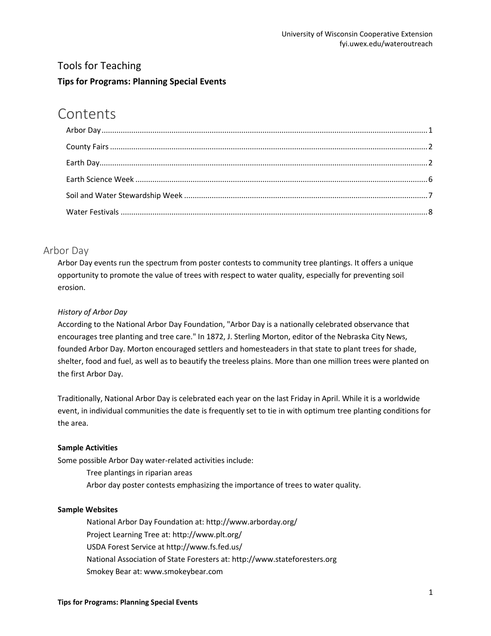## Tools for Teaching **Tips for Programs: Planning Special Events**

# **Contents**

## <span id="page-0-0"></span>Arbor Day

Arbor Day events run the spectrum from poster contests to community tree plantings. It offers a unique opportunity to promote the value of trees with respect to water quality, especially for preventing soil erosion.

## *History of Arbor Day*

According to the National Arbor Day Foundation, "Arbor Day is a nationally celebrated observance that encourages tree planting and tree care." In 1872, J. Sterling Morton, editor of the Nebraska City News, founded Arbor Day. Morton encouraged settlers and homesteaders in that state to plant trees for shade, shelter, food and fuel, as well as to beautify the treeless plains. More than one million trees were planted on the first Arbor Day.

Traditionally, National Arbor Day is celebrated each year on the last Friday in April. While it is a worldwide event, in individual communities the date is frequently set to tie in with optimum tree planting conditions for the area.

## **Sample Activities**

Some possible Arbor Day water-related activities include:

Tree plantings in riparian areas Arbor day poster contests emphasizing the importance of trees to water quality.

## **Sample Websites**

National Arbor Day Foundation at: http://www.arborday.org/ Project Learning Tree at: http://www.plt.org/ USDA Forest Service at http://www.fs.fed.us/ National Association of State Foresters at: http://www.stateforesters.org Smokey Bear at: www.smokeybear.com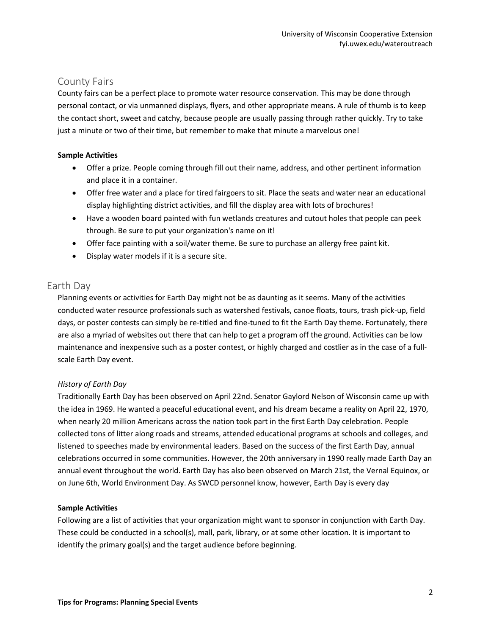## <span id="page-1-0"></span>County Fairs

County fairs can be a perfect place to promote water resource conservation. This may be done through personal contact, or via unmanned displays, flyers, and other appropriate means. A rule of thumb is to keep the contact short, sweet and catchy, because people are usually passing through rather quickly. Try to take just a minute or two of their time, but remember to make that minute a marvelous one!

## **Sample Activities**

- Offer a prize. People coming through fill out their name, address, and other pertinent information and place it in a container.
- Offer free water and a place for tired fairgoers to sit. Place the seats and water near an educational display highlighting district activities, and fill the display area with lots of brochures!
- Have a wooden board painted with fun wetlands creatures and cutout holes that people can peek through. Be sure to put your organization's name on it!
- Offer face painting with a soil/water theme. Be sure to purchase an allergy free paint kit.
- Display water models if it is a secure site.

## <span id="page-1-1"></span>Earth Day

Planning events or activities for Earth Day might not be as daunting as it seems. Many of the activities conducted water resource professionals such as watershed festivals, canoe floats, tours, trash pick-up, field days, or poster contests can simply be re-titled and fine-tuned to fit the Earth Day theme. Fortunately, there are also a myriad of websites out there that can help to get a program off the ground. Activities can be low maintenance and inexpensive such as a poster contest, or highly charged and costlier as in the case of a fullscale Earth Day event.

## *History of Earth Day*

Traditionally Earth Day has been observed on April 22nd. Senator Gaylord Nelson of Wisconsin came up with the idea in 1969. He wanted a peaceful educational event, and his dream became a reality on April 22, 1970, when nearly 20 million Americans across the nation took part in the first Earth Day celebration. People collected tons of litter along roads and streams, attended educational programs at schools and colleges, and listened to speeches made by environmental leaders. Based on the success of the first Earth Day, annual celebrations occurred in some communities. However, the 20th anniversary in 1990 really made Earth Day an annual event throughout the world. Earth Day has also been observed on March 21st, the Vernal Equinox, or on June 6th, World Environment Day. As SWCD personnel know, however, Earth Day is every day

## **Sample Activities**

Following are a list of activities that your organization might want to sponsor in conjunction with Earth Day. These could be conducted in a school(s), mall, park, library, or at some other location. It is important to identify the primary goal(s) and the target audience before beginning.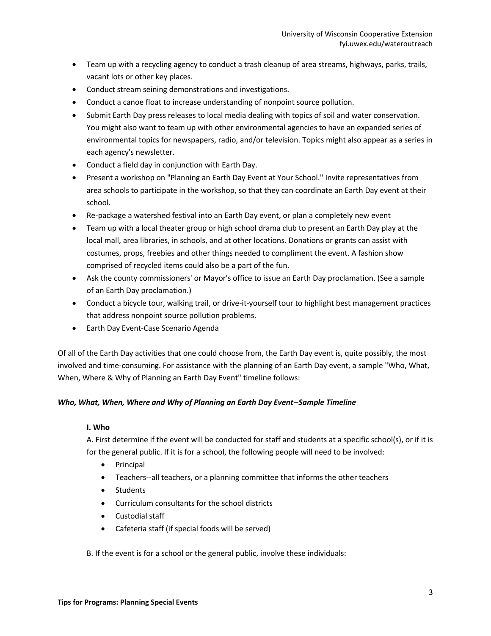- Team up with a recycling agency to conduct a trash cleanup of area streams, highways, parks, trails, vacant lots or other key places.
- Conduct stream seining demonstrations and investigations.
- Conduct a canoe float to increase understanding of nonpoint source pollution.
- Submit Earth Day press releases to local media dealing with topics of soil and water conservation. You might also want to team up with other environmental agencies to have an expanded series of environmental topics for newspapers, radio, and/or television. Topics might also appear as a series in each agency's newsletter.
- Conduct a field day in conjunction with Earth Day.
- Present a workshop on "Planning an Earth Day Event at Your School." Invite representatives from area schools to participate in the workshop, so that they can coordinate an Earth Day event at their school.
- Re-package a watershed festival into an Earth Day event, or plan a completely new event
- Team up with a local theater group or high school drama club to present an Earth Day play at the local mall, area libraries, in schools, and at other locations. Donations or grants can assist with costumes, props, freebies and other things needed to compliment the event. A fashion show comprised of recycled items could also be a part of the fun.
- Ask the county commissioners' or Mayor's office to issue an Earth Day proclamation. (See a sample of an Earth Day proclamation.)
- Conduct a bicycle tour, walking trail, or drive-it-yourself tour to highlight best management practices that address nonpoint source pollution problems.
- **•** Earth Day Event-Case Scenario Agenda

Of all of the Earth Day activities that one could choose from, the Earth Day event is, quite possibly, the most involved and time-consuming. For assistance with the planning of an Earth Day event, a sample "Who, What, When, Where & Why of Planning an Earth Day Event" timeline follows:

## *Who, What, When, Where and Why of Planning an Earth Day Event--Sample Timeline*

#### **I. Who**

A. First determine if the event will be conducted for staff and students at a specific school(s), or if it is for the general public. If it is for a school, the following people will need to be involved:

- Principal
- Teachers--all teachers, or a planning committee that informs the other teachers
- Students
- Curriculum consultants for the school districts
- Custodial staff
- Cafeteria staff (if special foods will be served)

B. If the event is for a school or the general public, involve these individuals: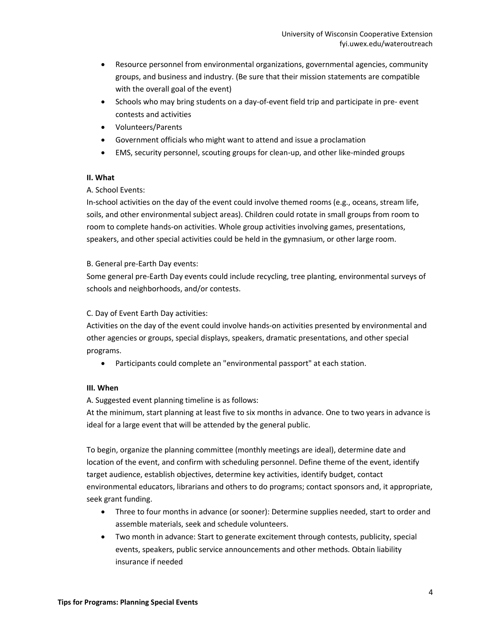- Resource personnel from environmental organizations, governmental agencies, community groups, and business and industry. (Be sure that their mission statements are compatible with the overall goal of the event)
- Schools who may bring students on a day-of-event field trip and participate in pre- event contests and activities
- Volunteers/Parents
- Government officials who might want to attend and issue a proclamation
- EMS, security personnel, scouting groups for clean-up, and other like-minded groups

#### **II. What**

## A. School Events:

In-school activities on the day of the event could involve themed rooms (e.g., oceans, stream life, soils, and other environmental subject areas). Children could rotate in small groups from room to room to complete hands-on activities. Whole group activities involving games, presentations, speakers, and other special activities could be held in the gymnasium, or other large room.

## B. General pre-Earth Day events:

Some general pre-Earth Day events could include recycling, tree planting, environmental surveys of schools and neighborhoods, and/or contests.

## C. Day of Event Earth Day activities:

Activities on the day of the event could involve hands-on activities presented by environmental and other agencies or groups, special displays, speakers, dramatic presentations, and other special programs.

Participants could complete an "environmental passport" at each station.

## **III. When**

A. Suggested event planning timeline is as follows:

At the minimum, start planning at least five to six months in advance. One to two years in advance is ideal for a large event that will be attended by the general public.

To begin, organize the planning committee (monthly meetings are ideal), determine date and location of the event, and confirm with scheduling personnel. Define theme of the event, identify target audience, establish objectives, determine key activities, identify budget, contact environmental educators, librarians and others to do programs; contact sponsors and, it appropriate, seek grant funding.

- Three to four months in advance (or sooner): Determine supplies needed, start to order and assemble materials, seek and schedule volunteers.
- Two month in advance: Start to generate excitement through contests, publicity, special events, speakers, public service announcements and other methods. Obtain liability insurance if needed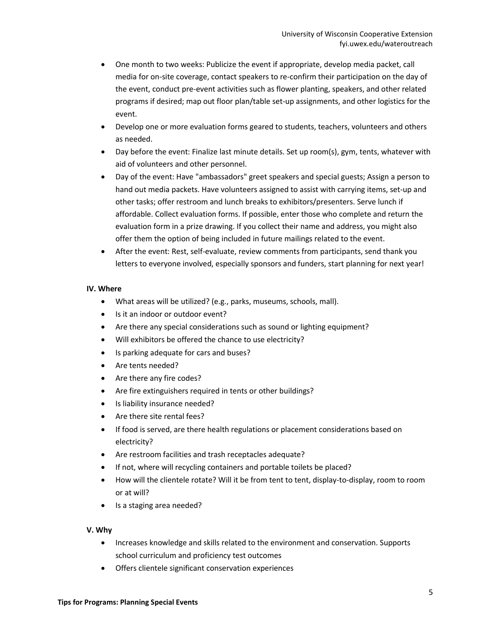- One month to two weeks: Publicize the event if appropriate, develop media packet, call media for on-site coverage, contact speakers to re-confirm their participation on the day of the event, conduct pre-event activities such as flower planting, speakers, and other related programs if desired; map out floor plan/table set-up assignments, and other logistics for the event.
- Develop one or more evaluation forms geared to students, teachers, volunteers and others as needed.
- Day before the event: Finalize last minute details. Set up room(s), gym, tents, whatever with aid of volunteers and other personnel.
- Day of the event: Have "ambassadors" greet speakers and special guests; Assign a person to hand out media packets. Have volunteers assigned to assist with carrying items, set-up and other tasks; offer restroom and lunch breaks to exhibitors/presenters. Serve lunch if affordable. Collect evaluation forms. If possible, enter those who complete and return the evaluation form in a prize drawing. If you collect their name and address, you might also offer them the option of being included in future mailings related to the event.
- After the event: Rest, self-evaluate, review comments from participants, send thank you letters to everyone involved, especially sponsors and funders, start planning for next year!

#### **IV. Where**

- What areas will be utilized? (e.g., parks, museums, schools, mall).
- Is it an indoor or outdoor event?
- Are there any special considerations such as sound or lighting equipment?
- Will exhibitors be offered the chance to use electricity?
- Is parking adequate for cars and buses?
- Are tents needed?
- Are there any fire codes?
- Are fire extinguishers required in tents or other buildings?
- Is liability insurance needed?
- Are there site rental fees?
- If food is served, are there health regulations or placement considerations based on electricity?
- Are restroom facilities and trash receptacles adequate?
- If not, where will recycling containers and portable toilets be placed?
- How will the clientele rotate? Will it be from tent to tent, display-to-display, room to room or at will?
- Is a staging area needed?

#### **V. Why**

- Increases knowledge and skills related to the environment and conservation. Supports school curriculum and proficiency test outcomes
- Offers clientele significant conservation experiences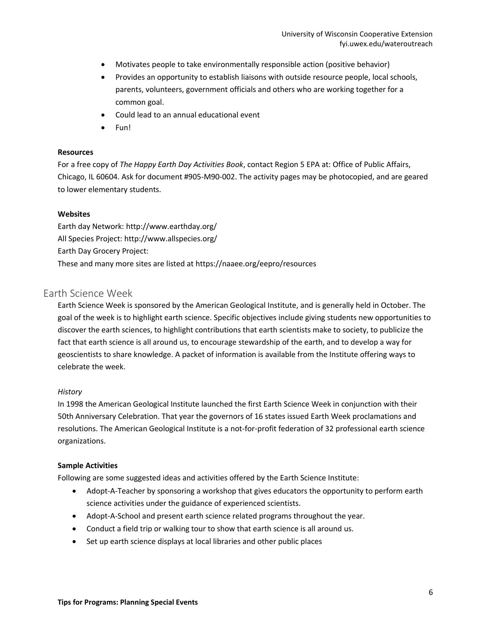- Motivates people to take environmentally responsible action (positive behavior)
- Provides an opportunity to establish liaisons with outside resource people, local schools, parents, volunteers, government officials and others who are working together for a common goal.
- Could lead to an annual educational event
- Fun!

#### **Resources**

For a free copy of *The Happy Earth Day Activities Book*, contact Region 5 EPA at: Office of Public Affairs, Chicago, IL 60604. Ask for document #905-M90-002. The activity pages may be photocopied, and are geared to lower elementary students.

#### **Websites**

Earth day Network: http://www.earthday.org/ All Species Project: http://www.allspecies.org/ Earth Day Grocery Project: These and many more sites are listed at https://naaee.org/eepro/resources

## <span id="page-5-0"></span>Earth Science Week

Earth Science Week is sponsored by the American Geological Institute, and is generally held in October. The goal of the week is to highlight earth science. Specific objectives include giving students new opportunities to discover the earth sciences, to highlight contributions that earth scientists make to society, to publicize the fact that earth science is all around us, to encourage stewardship of the earth, and to develop a way for geoscientists to share knowledge. A packet of information is available from the Institute offering ways to celebrate the week.

#### *History*

In 1998 the American Geological Institute launched the first Earth Science Week in conjunction with their 50th Anniversary Celebration. That year the governors of 16 states issued Earth Week proclamations and resolutions. The American Geological Institute is a not-for-profit federation of 32 professional earth science organizations.

#### **Sample Activities**

Following are some suggested ideas and activities offered by the Earth Science Institute:

- Adopt-A-Teacher by sponsoring a workshop that gives educators the opportunity to perform earth science activities under the guidance of experienced scientists.
- Adopt-A-School and present earth science related programs throughout the year.
- Conduct a field trip or walking tour to show that earth science is all around us.
- Set up earth science displays at local libraries and other public places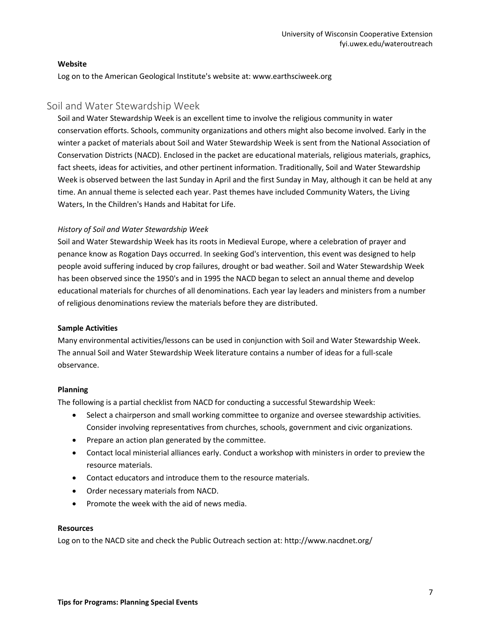#### **Website**

Log on to the American Geological Institute's website at: www.earthsciweek.org

## <span id="page-6-0"></span>Soil and Water Stewardship Week

Soil and Water Stewardship Week is an excellent time to involve the religious community in water conservation efforts. Schools, community organizations and others might also become involved. Early in the winter a packet of materials about Soil and Water Stewardship Week is sent from the National Association of Conservation Districts (NACD). Enclosed in the packet are educational materials, religious materials, graphics, fact sheets, ideas for activities, and other pertinent information. Traditionally, Soil and Water Stewardship Week is observed between the last Sunday in April and the first Sunday in May, although it can be held at any time. An annual theme is selected each year. Past themes have included Community Waters, the Living Waters, In the Children's Hands and Habitat for Life.

## *History of Soil and Water Stewardship Week*

Soil and Water Stewardship Week has its roots in Medieval Europe, where a celebration of prayer and penance know as Rogation Days occurred. In seeking God's intervention, this event was designed to help people avoid suffering induced by crop failures, drought or bad weather. Soil and Water Stewardship Week has been observed since the 1950's and in 1995 the NACD began to select an annual theme and develop educational materials for churches of all denominations. Each year lay leaders and ministers from a number of religious denominations review the materials before they are distributed.

## **Sample Activities**

Many environmental activities/lessons can be used in conjunction with Soil and Water Stewardship Week. The annual Soil and Water Stewardship Week literature contains a number of ideas for a full-scale observance.

## **Planning**

The following is a partial checklist from NACD for conducting a successful Stewardship Week:

- Select a chairperson and small working committee to organize and oversee stewardship activities. Consider involving representatives from churches, schools, government and civic organizations.
- Prepare an action plan generated by the committee.
- Contact local ministerial alliances early. Conduct a workshop with ministers in order to preview the resource materials.
- Contact educators and introduce them to the resource materials.
- Order necessary materials from NACD.
- Promote the week with the aid of news media.

#### **Resources**

Log on to the NACD site and check the Public Outreach section at: http://www.nacdnet.org/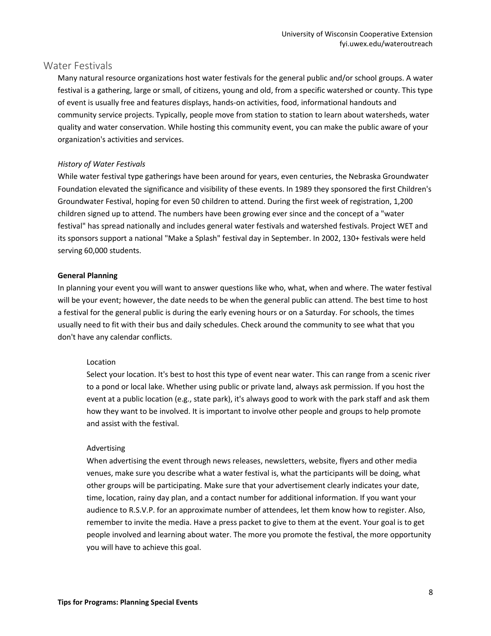## <span id="page-7-0"></span>Water Festivals

Many natural resource organizations host water festivals for the general public and/or school groups. A water festival is a gathering, large or small, of citizens, young and old, from a specific watershed or county. This type of event is usually free and features displays, hands-on activities, food, informational handouts and community service projects. Typically, people move from station to station to learn about watersheds, water quality and water conservation. While hosting this community event, you can make the public aware of your organization's activities and services.

#### *History of Water Festivals*

While water festival type gatherings have been around for years, even centuries, the Nebraska Groundwater Foundation elevated the significance and visibility of these events. In 1989 they sponsored the first Children's Groundwater Festival, hoping for even 50 children to attend. During the first week of registration, 1,200 children signed up to attend. The numbers have been growing ever since and the concept of a "water festival" has spread nationally and includes general water festivals and watershed festivals. Project WET and its sponsors support a national "Make a Splash" festival day in September. In 2002, 130+ festivals were held serving 60,000 students.

#### **General Planning**

In planning your event you will want to answer questions like who, what, when and where. The water festival will be your event; however, the date needs to be when the general public can attend. The best time to host a festival for the general public is during the early evening hours or on a Saturday. For schools, the times usually need to fit with their bus and daily schedules. Check around the community to see what that you don't have any calendar conflicts.

#### Location

Select your location. It's best to host this type of event near water. This can range from a scenic river to a pond or local lake. Whether using public or private land, always ask permission. If you host the event at a public location (e.g., state park), it's always good to work with the park staff and ask them how they want to be involved. It is important to involve other people and groups to help promote and assist with the festival.

#### Advertising

When advertising the event through news releases, newsletters, website, flyers and other media venues, make sure you describe what a water festival is, what the participants will be doing, what other groups will be participating. Make sure that your advertisement clearly indicates your date, time, location, rainy day plan, and a contact number for additional information. If you want your audience to R.S.V.P. for an approximate number of attendees, let them know how to register. Also, remember to invite the media. Have a press packet to give to them at the event. Your goal is to get people involved and learning about water. The more you promote the festival, the more opportunity you will have to achieve this goal.